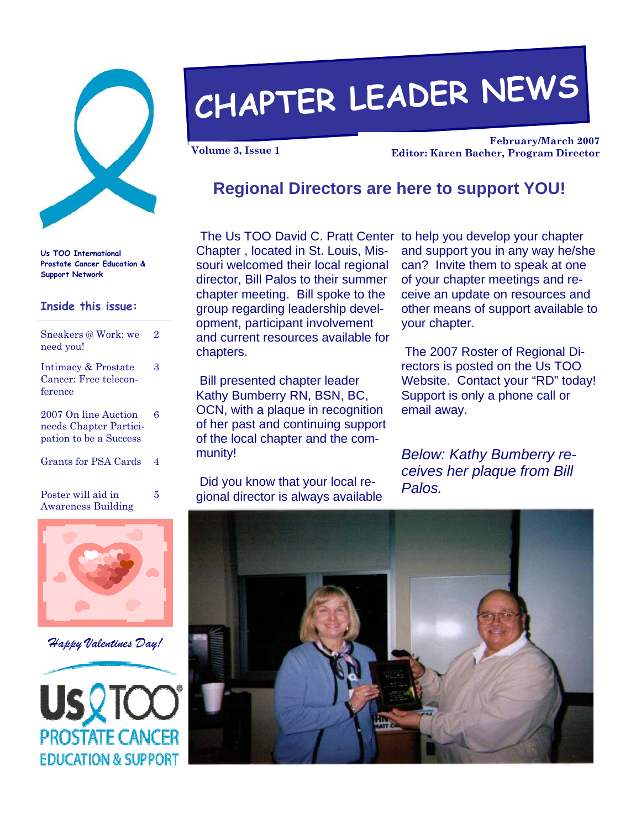

**Us TOO International Prostate Cancer Education & Support Network** 

#### **Inside this issue:**

| Sneakers @ Work: we<br>need you!                                         | 2 |
|--------------------------------------------------------------------------|---|
| Intimacy & Prostate<br>Cancer: Free telecon-<br>ference                  | 3 |
| 2007 On line Auction<br>needs Chapter Partici-<br>pation to be a Success | 6 |
| Grants for PSA Cards                                                     | 4 |
| Poster will aid in<br><b>Awareness Building</b>                          | 5 |



 *Happy Valentines Day!* 



# **CHAPTER LEADER NEWS**

**February/March 2007 Volume 3, Issue 1 Editor: Karen Bacher, Program Director** 

#### **Regional Directors are here to support YOU!**

Chapter , located in St. Louis, Missouri welcomed their local regional director, Bill Palos to their summer chapter meeting. Bill spoke to the group regarding leadership development, participant involvement and current resources available for chapters.

 Bill presented chapter leader Kathy Bumberry RN, BSN, BC, OCN, with a plaque in recognition of her past and continuing support of the local chapter and the community!

 Did you know that your local regional director is always available

The Us TOO David C. Pratt Center to help you develop your chapter and support you in any way he/she can? Invite them to speak at one of your chapter meetings and receive an update on resources and other means of support available to your chapter.

> The 2007 Roster of Regional Directors is posted on the Us TOO Website. Contact your "RD" today! Support is only a phone call or email away.

*Below: Kathy Bumberry receives her plaque from Bill Palos.*

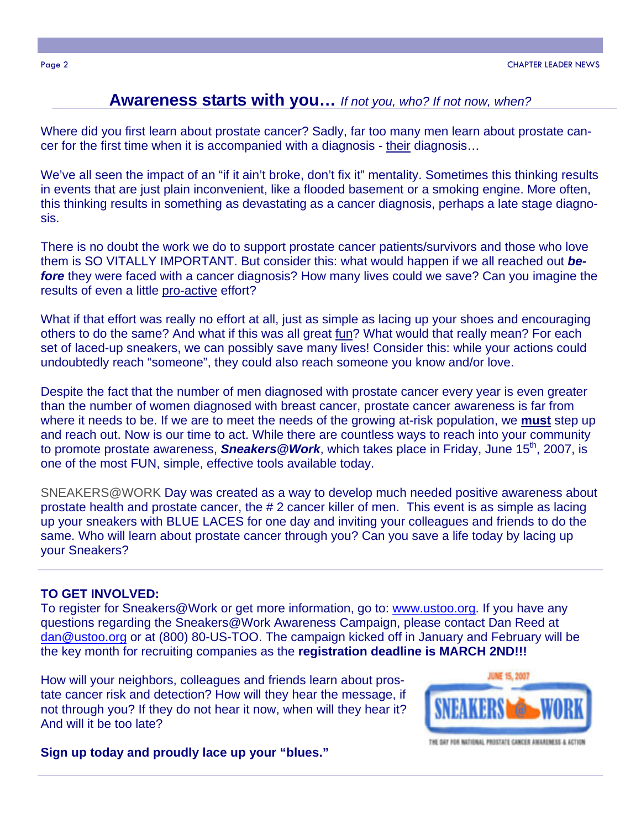#### **Awareness starts with you…** *If not you, who? If not now, when?*

Where did you first learn about prostate cancer? Sadly, far too many men learn about prostate cancer for the first time when it is accompanied with a diagnosis - their diagnosis…

We've all seen the impact of an "if it ain't broke, don't fix it" mentality. Sometimes this thinking results in events that are just plain inconvenient, like a flooded basement or a smoking engine. More often, this thinking results in something as devastating as a cancer diagnosis, perhaps a late stage diagnosis.

There is no doubt the work we do to support prostate cancer patients/survivors and those who love them is SO VITALLY IMPORTANT. But consider this: what would happen if we all reached out *before* they were faced with a cancer diagnosis? How many lives could we save? Can you imagine the results of even a little pro-active effort?

What if that effort was really no effort at all, just as simple as lacing up your shoes and encouraging others to do the same? And what if this was all great fun? What would that really mean? For each set of laced-up sneakers, we can possibly save many lives! Consider this: while your actions could undoubtedly reach "someone", they could also reach someone you know and/or love.

Despite the fact that the number of men diagnosed with prostate cancer every year is even greater than the number of women diagnosed with breast cancer, prostate cancer awareness is far from where it needs to be. If we are to meet the needs of the growing at-risk population, we **must** step up and reach out. Now is our time to act. While there are countless ways to reach into your community to promote prostate awareness, **Sneakers@Work**, which takes place in Friday, June 15<sup>th</sup>, 2007, is one of the most FUN, simple, effective tools available today.

SNEAKERS@WORK Day was created as a way to develop much needed positive awareness about prostate health and prostate cancer, the # 2 cancer killer of men. This event is as simple as lacing up your sneakers with BLUE LACES for one day and inviting your colleagues and friends to do the same. Who will learn about prostate cancer through you? Can you save a life today by lacing up your Sneakers?

#### **TO GET INVOLVED:**

To register for Sneakers@Work or get more information, go to: www.ustoo.org. If you have any questions regarding the Sneakers@Work Awareness Campaign, please contact Dan Reed at dan@ustoo.org or at (800) 80-US-TOO. The campaign kicked off in January and February will be the key month for recruiting companies as the **registration deadline is MARCH 2ND!!!** 

How will your neighbors, colleagues and friends learn about prostate cancer risk and detection? How will they hear the message, if not through you? If they do not hear it now, when will they hear it? And will it be too late?



THE DAY FOR MATIONAL PROSTATE CANCER ANGAINMENT A ACTION

**Sign up today and proudly lace up your "blues."**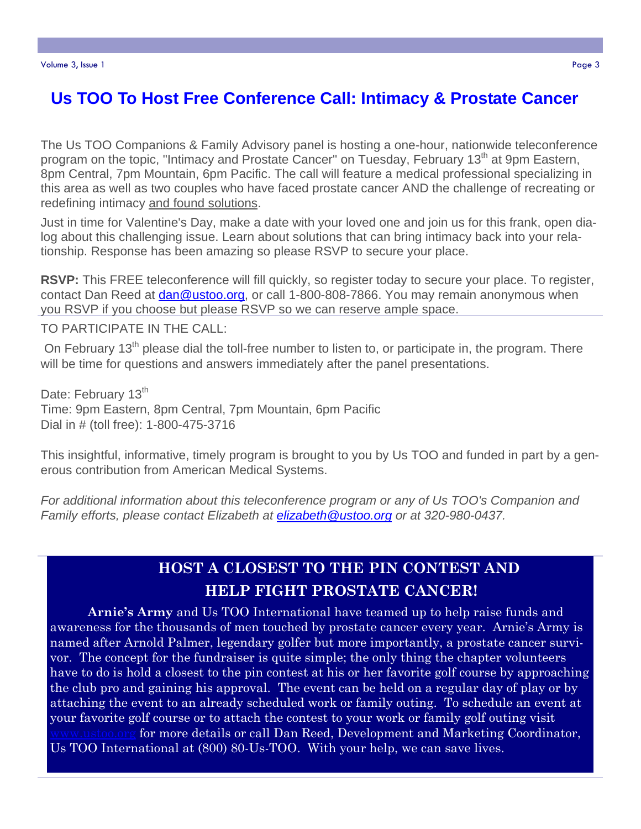## **Us TOO To Host Free Conference Call: Intimacy & Prostate Cancer**

The Us TOO Companions & Family Advisory panel is hosting a one-hour, nationwide teleconference program on the topic, "Intimacy and Prostate Cancer" on Tuesday, February 13<sup>th</sup> at 9pm Eastern, 8pm Central, 7pm Mountain, 6pm Pacific. The call will feature a medical professional specializing in this area as well as two couples who have faced prostate cancer AND the challenge of recreating or redefining intimacy and found solutions.

Just in time for Valentine's Day, make a date with your loved one and join us for this frank, open dialog about this challenging issue. Learn about solutions that can bring intimacy back into your relationship. Response has been amazing so please RSVP to secure your place.

**RSVP:** This FREE teleconference will fill quickly, so register today to secure your place. To register, contact Dan Reed at dan@ustoo.org, or call 1-800-808-7866. You may remain anonymous when you RSVP if you choose but please RSVP so we can reserve ample space.

TO PARTICIPATE IN THE CALL:

On February 13<sup>th</sup> please dial the toll-free number to listen to, or participate in, the program. There will be time for questions and answers immediately after the panel presentations.

Date: February 13<sup>th</sup> Time: 9pm Eastern, 8pm Central, 7pm Mountain, 6pm Pacific Dial in # (toll free): 1-800-475-3716

This insightful, informative, timely program is brought to you by Us TOO and funded in part by a generous contribution from American Medical Systems.

*For additional information about this teleconference program or any of Us TOO's Companion and Family efforts, please contact Elizabeth at elizabeth@ustoo.org or at 320-980-0437.*

#### **HOST A CLOSEST TO THE PIN CONTEST AND HELP FIGHT PROSTATE CANCER!**

**Arnie's Army** and Us TOO International have teamed up to help raise funds and awareness for the thousands of men touched by prostate cancer every year. Arnie's Army is named after Arnold Palmer, legendary golfer but more importantly, a prostate cancer survivor. The concept for the fundraiser is quite simple; the only thing the chapter volunteers have to do is hold a closest to the pin contest at his or her favorite golf course by approaching the club pro and gaining his approval. The event can be held on a regular day of play or by attaching the event to an already scheduled work or family outing. To schedule an event at your favorite golf course or to attach the contest to your work or family golf outing visit for more details or call Dan Reed, Development and Marketing Coordinator, Us TOO International at (800) 80-Us-TOO. With your help, we can save lives.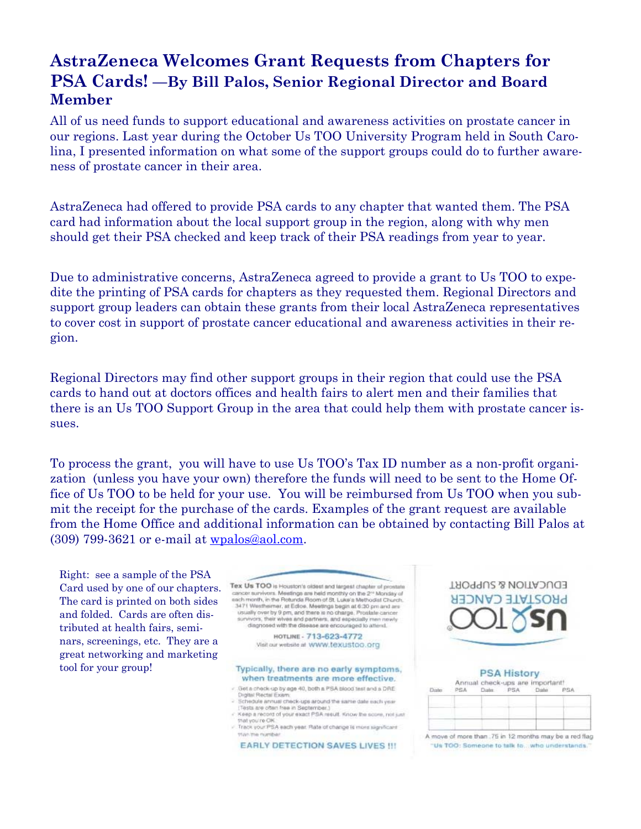### **AstraZeneca Welcomes Grant Requests from Chapters for PSA Cards! —By Bill Palos, Senior Regional Director and Board Member**

All of us need funds to support educational and awareness activities on prostate cancer in our regions. Last year during the October Us TOO University Program held in South Carolina, I presented information on what some of the support groups could do to further awareness of prostate cancer in their area.

AstraZeneca had offered to provide PSA cards to any chapter that wanted them. The PSA card had information about the local support group in the region, along with why men should get their PSA checked and keep track of their PSA readings from year to year.

Due to administrative concerns, AstraZeneca agreed to provide a grant to Us TOO to expedite the printing of PSA cards for chapters as they requested them. Regional Directors and support group leaders can obtain these grants from their local AstraZeneca representatives to cover cost in support of prostate cancer educational and awareness activities in their region.

Regional Directors may find other support groups in their region that could use the PSA cards to hand out at doctors offices and health fairs to alert men and their families that there is an Us TOO Support Group in the area that could help them with prostate cancer issues.

To process the grant, you will have to use Us TOO's Tax ID number as a non-profit organization (unless you have your own) therefore the funds will need to be sent to the Home Office of Us TOO to be held for your use. You will be reimbursed from Us TOO when you submit the receipt for the purchase of the cards. Examples of the grant request are available from the Home Office and additional information can be obtained by contacting Bill Palos at (309) 799-3621 or e-mail at wpalos@aol.com.

Right: see a sample of the PSA Card used by one of our chapters. The card is printed on both sides and folded. Cards are often distributed at health fairs, seminars, screenings, etc. They are a great networking and marketing tool for your group!



- **Orgital Rectal Exam** Schedule annual check-ups around the same date each year.<br>[Tests are often free in September.]
- Keep a record of your exact PSA result. Know the score, not just you're ON
- Track your PSA each year. Rate of change is more significant trian me numb

**EARLY DETECTION SAVES LIVES !!!** 



|  | <b>PSA History</b><br>Date PSA Date | Annual check-ups are important! |  |
|--|-------------------------------------|---------------------------------|--|
|  |                                     |                                 |  |
|  |                                     |                                 |  |
|  |                                     |                                 |  |
|  |                                     |                                 |  |

A move of more than .75 in 12 months may be a red flag "Us TOO: Someone to talk to ... who understands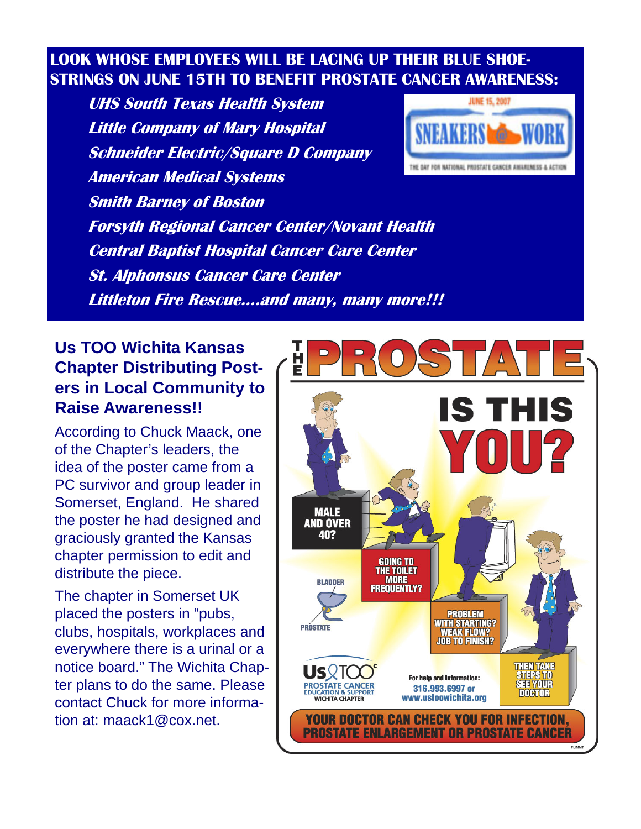## **LOOK WHOSE EMPLOYEES WILL BE LACING UP THEIR BLUE SHOE-STRINGS ON JUNE 15TH TO BENEFIT PROSTATE CANCER AWARENESS:**

 **UHS South Texas Health System Little Company of Mary Hospital Schneider Electric/Square D Company American Medical Systems Smith Barney of Boston Forsyth Regional Cancer Center/Novant Health Central Baptist Hospital Cancer Care Center St. Alphonsus Cancer Care Center Littleton Fire Rescue….and many, many more!!!**



### **Us TOO Wichita Kansas Chapter Distributing Posters in Local Community to Raise Awareness!!**

According to Chuck Maack, one of the Chapter's leaders, the idea of the poster came from a PC survivor and group leader in Somerset, England. He shared the poster he had designed and graciously granted the Kansas chapter permission to edit and distribute the piece.

The chapter in Somerset UK placed the posters in "pubs, clubs, hospitals, workplaces and everywhere there is a urinal or a notice board." The Wichita Chapter plans to do the same. Please contact Chuck for more information at: maack1@cox.net.